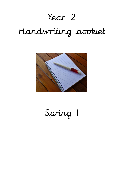# Year 2

# Handwriting booklet



Spring 1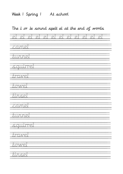#### Week | Spring | At school

The l or le sound spelt el at the end of words el el el el el el el el el el el el camel tunnel squirrel travel towel tinsel camel tunnel squirrel travel t*o*wel tinsel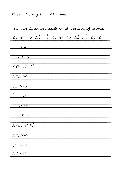# Week 1 Spring 1 At home

The l or le sound spelt el at the end of words el el el el el el el el el el el el camel tunnel squirrel travel towel tinsel camel tunnel squirrel travel towel tinsel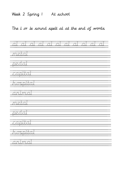#### Week 2 Spring 1 At school

The l or le sound spelt al at the end of words

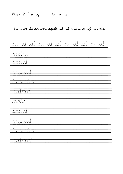#### Week 2 Spring 1 At home

The l or le sound spelt al at the end of words

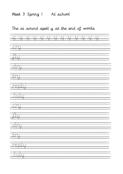# Week 3 Spring 1 At school

# The ai sound spelt y at the end of words

|                      |                        | $\overline{\phantom{a}}$ | $\mathcal{A}_{\mathcal{A}}$<br><b>SAMPLE</b> | 77 | $\mathcal{L}(\mathcal{L})$ | $\mathcal{A}_{\mathcal{A}}$<br>$\mathcal{L}$ | $\mathcal{A}$<br>77 | $\sim$ 1 | - 7 | 11<br>49 | 11<br>77 |  |
|----------------------|------------------------|--------------------------|----------------------------------------------|----|----------------------------|----------------------------------------------|---------------------|----------|-----|----------|----------|--|
| <u>anu</u>           | 77                     |                          |                                              |    |                            |                                              |                     |          |     |          |          |  |
| $\frac{\sqrt{2}}{2}$ |                        |                          |                                              |    |                            |                                              |                     |          |     |          |          |  |
| ZUTU.                |                        |                          |                                              |    |                            |                                              |                     |          |     |          |          |  |
| <u>Ting</u>          | - 77                   |                          |                                              |    |                            |                                              |                     |          |     |          |          |  |
|                      | <u>repul</u><br>$\tau$ | 77                       |                                              |    |                            |                                              |                     |          |     |          |          |  |
|                      | 九边边<br>77              |                          |                                              |    |                            |                                              |                     |          |     |          |          |  |
| <u>aanu</u>          | 77                     |                          |                                              |    |                            |                                              |                     |          |     |          |          |  |
| $\frac{\pi}{2}$      | 77                     |                          |                                              |    |                            |                                              |                     |          |     |          |          |  |
| <u>zdru.</u>         | $\mathbb{Z}^2$         |                          |                                              |    |                            |                                              |                     |          |     |          |          |  |
| <u>TTI</u><br>Ť      | - 77                   |                          |                                              |    |                            |                                              |                     |          |     |          |          |  |
|                      | <u>reblij</u><br>ः     | 77                       |                                              |    |                            |                                              |                     |          |     |          |          |  |
|                      | <u>Juuq</u><br>77      |                          |                                              |    |                            |                                              |                     |          |     |          |          |  |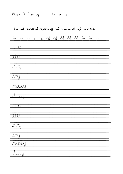# Week 3 Spring 1 At home

# The ai sound spelt y at the end of words

|                               |                                                                                                                       | 77 | Ĵ.<br>77 | 77 | 77 | $\mathcal{L}$<br>77 | $\mathcal{L}(\mathcal{I})$<br>77 | Ă. | j,<br>77 | 77 | II.<br>रा |
|-------------------------------|-----------------------------------------------------------------------------------------------------------------------|----|----------|----|----|---------------------|----------------------------------|----|----------|----|-----------|
| <u>anti</u>                   | 77                                                                                                                    |    |          |    |    |                     |                                  |    |          |    |           |
| $\overline{\text{III}}$<br>77 | $\Box$ $\vec{v}$                                                                                                      |    |          |    |    |                     |                                  |    |          |    |           |
| 大王王                           | - 77                                                                                                                  |    |          |    |    |                     |                                  |    |          |    |           |
| <u> Tunu</u>                  | <u>a 1999 - Anii 1999 - Anii 1999 - Anii 1999 - Anii 1999 - Anii 1999 - Anii 1999 - Anii 1999 - Anii 1999 - Anii </u> |    |          |    |    |                     |                                  |    |          |    |           |
|                               | <u>redul</u>                                                                                                          | 47 |          |    |    |                     |                                  |    |          |    |           |
|                               | 九边立<br>77                                                                                                             |    |          |    |    |                     |                                  |    |          |    |           |
| <u>anti</u>                   | 77                                                                                                                    |    |          |    |    |                     |                                  |    |          |    |           |
| $\overline{\text{1}}$<br>77   | स्त्रा स                                                                                                              |    |          |    |    |                     |                                  |    |          |    |           |
| <u>zdzītu </u>                | $\mathcal{L}$                                                                                                         |    |          |    |    |                     |                                  |    |          |    |           |
|                               | 型                                                                                                                     |    |          |    |    |                     |                                  |    |          |    |           |
|                               | <u>itelalu</u><br><b>F</b>                                                                                            | 77 |          |    |    |                     |                                  |    |          |    |           |
|                               | <u>Juur</u><br>77                                                                                                     |    |          |    |    |                     |                                  |    |          |    |           |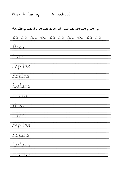Week 4 Spring 1 At school

# Adding es to nouns and verbs ending in y

es es es es es es es es es es flies tries replies copies babies carries flies tries replies copies babies carries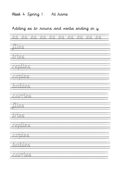Week 4 Spring 1 At home

#### Adding es to nouns and verbs ending in y

es es es es es es es es es es flies tries replies copies babies carries flies tries replies copies babies carries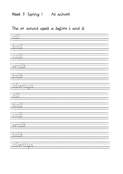# Week 5 Spring 1 At school

## The or sound spelt a before l and ll

| $\overline{\mathcal{L}}$ |
|--------------------------|
| ball                     |
|                          |
| <u>tall</u>              |
| <u> walk</u>             |
|                          |
| <u>talk</u>              |
| <u>xilwaus</u><br>77     |
| <u>all</u>               |
| ball                     |
| $\sqrt{2}$               |
| wak                      |
| $\sqrt{2\pi k}$          |
| <u>alwaus</u>            |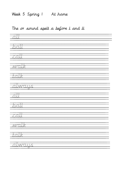# Week 5 Spring 1 At home

## The or sound spelt a before l and ll

| <u>all</u>                  |  |
|-----------------------------|--|
| <u>ball</u>                 |  |
| <u>Tall</u>                 |  |
| wak                         |  |
| <u>Jak</u>                  |  |
| <u>xilwaus</u>              |  |
| 77<br><u>all</u>            |  |
| $\overline{\mathbb{R}}$ ali |  |
| $\sqrt{2}$                  |  |
| walk                        |  |
| <b>Jalk</b>                 |  |
| <u>always</u><br>ਨਾ         |  |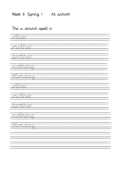## Week 6 Spring 1 At school

#### The u sound spelt o

zthei mort TØ brother 777 ŦĄ  $\mathcal{L}^{\mathcal{A}}$ <u>mm</u> 73.73  $\mathbb{R}^2$ 1 T F morti <u>ter</u> her orofi  $\overline{\mathbb{Z}}$  $\overline{J}$ <u> Monday</u>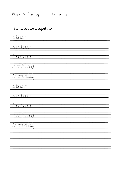# Week 6 Spring 1 At home

#### The u sound spelt o

| <u>sther</u>     |  |
|------------------|--|
| mother           |  |
| <u> Isrother</u> |  |
| <u>nothing</u>   |  |
| Monday           |  |
|                  |  |
| <u>allice</u>    |  |
| mother           |  |
| brother          |  |
| nothing<br>77    |  |
| <u>Monday</u>    |  |
|                  |  |
|                  |  |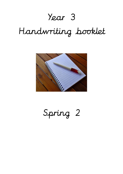# Year 3

# Handwriting booklet



Spring 2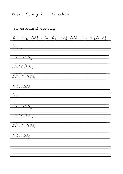# Week 1 Spring 2 At school

#### The ee sound spelt ey

| <u> ZJ.</u><br>77                                               | $\mathbb{Z} \mathbb{I}$ .<br>77 | -<br>2.月<br>77 | 77 | <u>RAIT</u><br>77 | $\overline{\mathcal{L}A}$ .<br>77 | <u> Mata</u><br>77 | <u>RAT</u><br>77 | <u>RAIR </u><br>77 | ग्र<br>77 |
|-----------------------------------------------------------------|---------------------------------|----------------|----|-------------------|-----------------------------------|--------------------|------------------|--------------------|-----------|
| 77                                                              |                                 |                |    |                   |                                   |                    |                  |                    |           |
|                                                                 | <u>zton kolu</u>                | 77             |    |                   |                                   |                    |                  |                    |           |
|                                                                 | monkeu                          | 27             |    |                   |                                   |                    |                  |                    |           |
|                                                                 | Tunneu                          | 77             |    |                   |                                   |                    |                  |                    |           |
|                                                                 | waligu<br>77                    |                |    |                   |                                   |                    |                  |                    |           |
| $\frac{1}{\mathcal{R}\mathcal{R}\mathcal{R}\mathcal{R}}$<br>- 1 |                                 |                |    |                   |                                   |                    |                  |                    |           |
|                                                                 | aankal                          | 73             |    |                   |                                   |                    |                  |                    |           |
|                                                                 | <u>monkeu</u>                   | 77             |    |                   |                                   |                    |                  |                    |           |
|                                                                 | <u>chunneu</u>                  |                |    |                   |                                   |                    |                  |                    |           |
|                                                                 | <u> xaley</u>                   |                |    |                   |                                   |                    |                  |                    |           |
|                                                                 |                                 |                |    |                   |                                   |                    |                  |                    |           |
|                                                                 |                                 |                |    |                   |                                   |                    |                  |                    |           |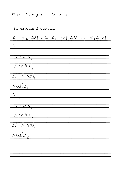# Week 1 Spring 2 At home

#### The ee sound spelt ey

| <u> 乙二</u><br>$\overline{C}$ | <u> ZUT</u><br>77 |        | <u>Rati</u> | <u>Rati</u> | <u> Ali</u> | <u>ZUT</u> | <u> ZII</u><br>77 | <u>RAIR</u> |  |
|------------------------------|-------------------|--------|-------------|-------------|-------------|------------|-------------------|-------------|--|
| keu                          |                   |        |             |             |             |            |                   |             |  |
|                              | <u>Jonkeu</u>     | 77     |             |             |             |            |                   |             |  |
|                              | monkeu            | 77     |             |             |             |            |                   |             |  |
|                              | chimney           | - 7    |             |             |             |            |                   |             |  |
|                              | ZUTI PIT<br>77    |        |             |             |             |            |                   |             |  |
| <u> Kali</u>                 | 77                |        |             |             |             |            |                   |             |  |
|                              | zioneell          | 77     |             |             |             |            |                   |             |  |
|                              | monkall           | 77     |             |             |             |            |                   |             |  |
|                              | <u>zhimney</u>    | $\sim$ |             |             |             |            |                   |             |  |
|                              | <del>muleu</del>  |        |             |             |             |            |                   |             |  |
|                              |                   |        |             |             |             |            |                   |             |  |
|                              |                   |        |             |             |             |            |                   |             |  |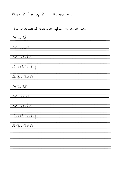# Week 2 Spring 2 At school

## The o sound spelt a after w and qu

| <u> Mant</u>   |  |
|----------------|--|
| <u>watch</u>   |  |
| <u>wander</u>  |  |
| quantity       |  |
| <u>squash</u>  |  |
| want           |  |
| watch          |  |
| Wander         |  |
| augntitu<br>77 |  |
| sauash<br>÷    |  |
|                |  |
|                |  |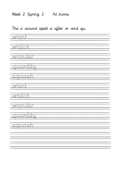## Week 2 Spring 2 At home

## The o sound spelt a after w and qu

| <u> Mant</u>   |
|----------------|
| <u>watch</u>   |
| <u>wander</u>  |
| quantity       |
| <u>squash</u>  |
| want           |
| watch          |
| Wander         |
| augntitu<br>77 |
| sauash<br>÷    |
|                |
|                |
|                |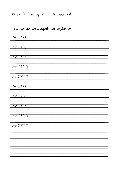# Week 3 Spring 2 At school

# The ur sound spelt or after w

| <u> Word</u> |  |
|--------------|--|
| <u>work</u>  |  |
| <b>WOTTI</b> |  |
| <u>world</u> |  |
| <u>worth</u> |  |
| <u> Word</u> |  |
| <u> Work</u> |  |
| <b>WOTTI</b> |  |
| <u>word</u>  |  |
| worth        |  |
|              |  |
|              |  |
|              |  |
|              |  |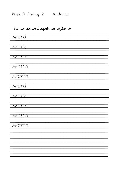# Week 3 Spring 2 At home

## The ur sound spelt or after w

| <u> Word</u>  |  |
|---------------|--|
| <u>work</u>   |  |
| <b>WOTTE</b>  |  |
| <u>world</u>  |  |
| <b>worth</b>  |  |
| <b>MOTO</b>   |  |
| <u>work</u>   |  |
| <b>WOTTIT</b> |  |
| <u> World</u> |  |
| worth         |  |
|               |  |
|               |  |
|               |  |
|               |  |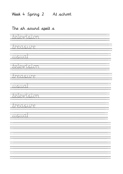Week 4 Spring 2 At school

#### The sh sound spelt s

television

treasure

usual

television

treasure

usual

television

treasure

usual

 $\frac{1}{\sqrt{2}}$ 

 $\overline{a}$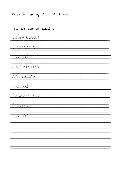Week 4 Spring 2 At home

#### The sh sound spelt s

television

treasure

usual

television

treasure

usual

television

treasure

usual

 $\frac{1}{\sqrt{2}}$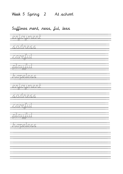#### Week 5 Spring 2 At school

#### Suffixes ment, ness, ful, less

enjoyment sadness <u>careful</u> playfull hopeless enjoyment sadness <u>care uu</u>  $\overline{\mathcal{U}}$ aya $\overline{\mathcal{U}}$ aya <u>hopeless</u>  $\frac{1}{\sqrt{2}}$   $\overline{a}$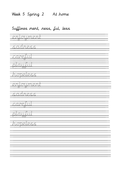Week 5 Spring 2 At home

#### Suffixes ment, ness, ful, less

enjoyment sadness <u>caretul</u> playful hopeless: enjoyment sadness <u>care lui</u> playful hopeless  $\frac{1}{\sqrt{2}}$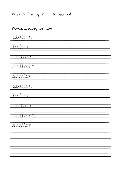# Week 6 Spring 2 At school

## Words ending in tion

| <u> Tababian</u> |
|------------------|
| <u>Judion</u>    |
|                  |
| <u>motion</u>    |
| national         |
|                  |
| <u>section</u>   |
| <u>Tstation</u>  |
|                  |
| Judion           |
| <u> Trustium</u> |
|                  |
| <u>Trational</u> |
| <u> Escobon</u>  |
|                  |
|                  |
|                  |
|                  |
|                  |
|                  |